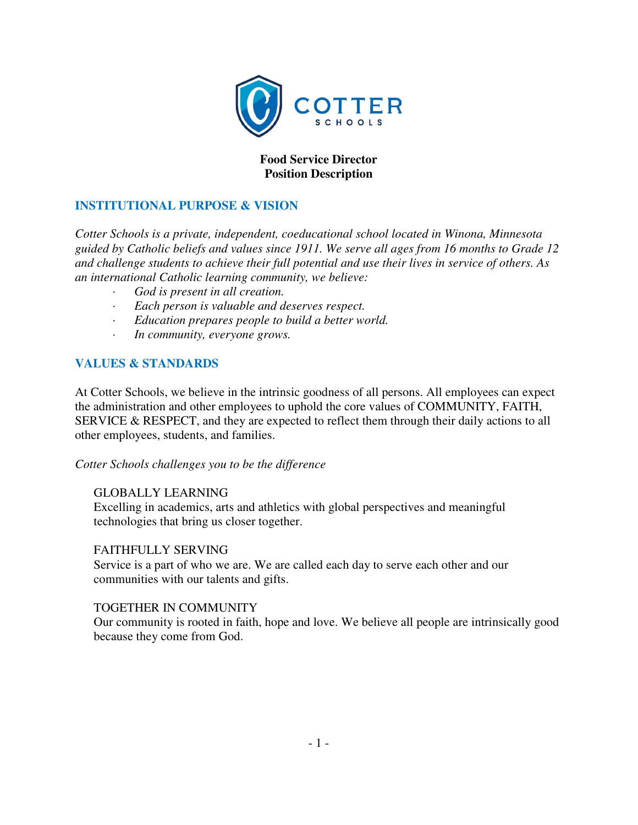

## **Food Service Director Position Description**

### **INSTITUTIONAL PURPOSE & VISION**

*Cotter Schools is a private, independent, coeducational school located in Winona, Minnesota guided by Catholic beliefs and values since 1911. We serve all ages from 16 months to Grade 12 and challenge students to achieve their full potential and use their lives in service of others. As an international Catholic learning community, we believe:* 

- *· God is present in all creation.*
- *· Each person is valuable and deserves respect.*
- *· Education prepares people to build a better world.*
- *· In community, everyone grows.*

#### **VALUES & STANDARDS**

At Cotter Schools, we believe in the intrinsic goodness of all persons. All employees can expect the administration and other employees to uphold the core values of COMMUNITY, FAITH, SERVICE & RESPECT, and they are expected to reflect them through their daily actions to all other employees, students, and families.

#### *Cotter Schools challenges you to be the difference*

#### GLOBALLY LEARNING

Excelling in academics, arts and athletics with global perspectives and meaningful technologies that bring us closer together.

#### FAITHFULLY SERVING

Service is a part of who we are. We are called each day to serve each other and our communities with our talents and gifts.

#### TOGETHER IN COMMUNITY

Our community is rooted in faith, hope and love. We believe all people are intrinsically good because they come from God.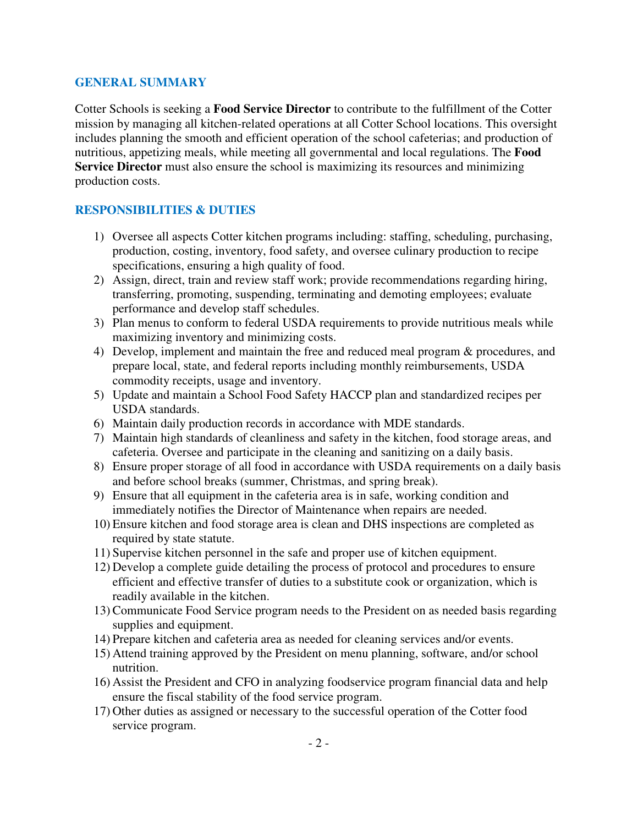#### **GENERAL SUMMARY**

Cotter Schools is seeking a **Food Service Director** to contribute to the fulfillment of the Cotter mission by managing all kitchen-related operations at all Cotter School locations. This oversight includes planning the smooth and efficient operation of the school cafeterias; and production of nutritious, appetizing meals, while meeting all governmental and local regulations. The **Food Service Director** must also ensure the school is maximizing its resources and minimizing production costs.

#### **RESPONSIBILITIES & DUTIES**

- 1) Oversee all aspects Cotter kitchen programs including: staffing, scheduling, purchasing, production, costing, inventory, food safety, and oversee culinary production to recipe specifications, ensuring a high quality of food.
- 2) Assign, direct, train and review staff work; provide recommendations regarding hiring, transferring, promoting, suspending, terminating and demoting employees; evaluate performance and develop staff schedules.
- 3) Plan menus to conform to federal USDA requirements to provide nutritious meals while maximizing inventory and minimizing costs.
- 4) Develop, implement and maintain the free and reduced meal program & procedures, and prepare local, state, and federal reports including monthly reimbursements, USDA commodity receipts, usage and inventory.
- 5) Update and maintain a School Food Safety HACCP plan and standardized recipes per USDA standards.
- 6) Maintain daily production records in accordance with MDE standards.
- 7) Maintain high standards of cleanliness and safety in the kitchen, food storage areas, and cafeteria. Oversee and participate in the cleaning and sanitizing on a daily basis.
- 8) Ensure proper storage of all food in accordance with USDA requirements on a daily basis and before school breaks (summer, Christmas, and spring break).
- 9) Ensure that all equipment in the cafeteria area is in safe, working condition and immediately notifies the Director of Maintenance when repairs are needed.
- 10) Ensure kitchen and food storage area is clean and DHS inspections are completed as required by state statute.
- 11) Supervise kitchen personnel in the safe and proper use of kitchen equipment.
- 12) Develop a complete guide detailing the process of protocol and procedures to ensure efficient and effective transfer of duties to a substitute cook or organization, which is readily available in the kitchen.
- 13) Communicate Food Service program needs to the President on as needed basis regarding supplies and equipment.
- 14) Prepare kitchen and cafeteria area as needed for cleaning services and/or events.
- 15) Attend training approved by the President on menu planning, software, and/or school nutrition.
- 16) Assist the President and CFO in analyzing foodservice program financial data and help ensure the fiscal stability of the food service program.
- 17) Other duties as assigned or necessary to the successful operation of the Cotter food service program.